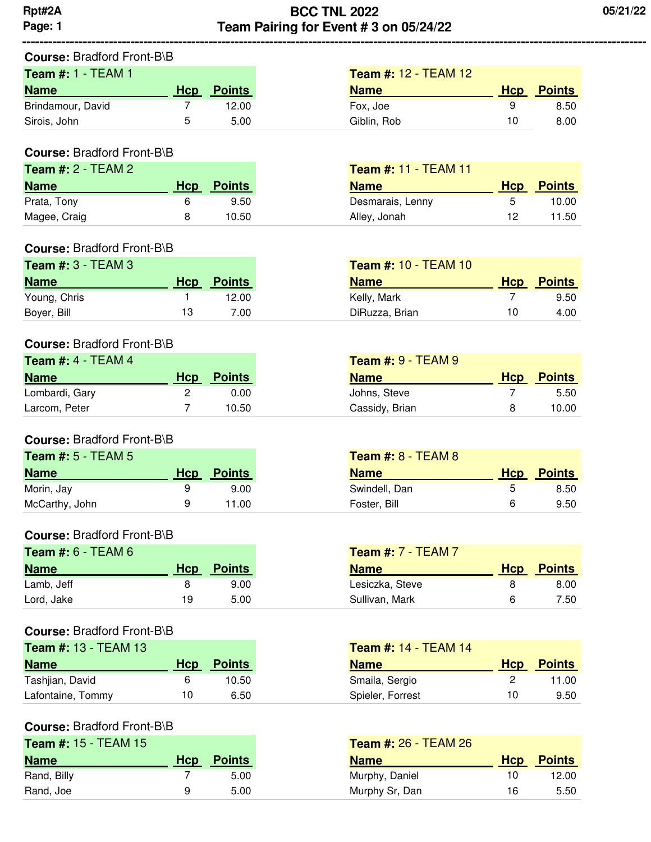# **Course:** Bradford Front-B\B

| <b>Team #:</b> $1 - TEAM 1$ |     |               | <b>Team #: 12 - TEAM 12</b> |     |               |
|-----------------------------|-----|---------------|-----------------------------|-----|---------------|
| <b>Name</b>                 | Hcp | <b>Points</b> | <b>Name</b>                 | Hcp | <b>Points</b> |
| Brindamour, David           |     | 12.00         | Fox, Joe                    | 9   | 8.50          |
| Sirois, John                | 5   | 5.00          | Giblin, Rob                 | 10  | 8.00          |

**----------------------------------------------------------------------------------------------------------------------------------------------------------------------------------------------------------------------------------------------------------------**

### **Course:** Bradford Front-B\B

| Team $#: 2$ - TEAM 2 |     |        | <b>Team #: 11 - TEAM 11</b> |            |               |
|----------------------|-----|--------|-----------------------------|------------|---------------|
| <b>Name</b>          | Hcp | Points | <b>Name</b>                 | <b>Hcp</b> | <b>Points</b> |
| Prata, Tony          |     | 9.50   | Desmarais, Lenny            | b.         | 10.00         |
| Magee, Craig         |     | 10.50  | Alley, Jonah                | 12         | 11.50         |

### **Course:** Bradford Front-B\B

| <b>Team #: 3 - TEAM 3</b> |     |               | <b>Team #: 10 - TEAM 10</b> |     |               |
|---------------------------|-----|---------------|-----------------------------|-----|---------------|
| <b>Name</b>               | Hcp | <b>Points</b> | <b>Name</b>                 | Hcp | <b>Points</b> |
| Young, Chris              |     | 12.00         | Kelly, Mark                 |     | 9.50          |
| Boyer, Bill               | 13  | 7.00          | DiRuzza, Brian              | 10  | 4.00          |

## **Course:** Bradford Front-B\B

| Team #: $4 - TEAM 4$ |     |        | <b>Team #: <math>9 - TEAM9</math></b> |             |               |
|----------------------|-----|--------|---------------------------------------|-------------|---------------|
| <b>Name</b>          | Hcp | Points | <b>Name</b>                           | <b>H</b> cp | <b>Points</b> |
| Lombardi, Gary       |     | 0.00   | Johns, Steve                          |             | 5.50          |
| Larcom, Peter        |     | 10.50  | Cassidy, Brian                        |             | 10.00         |

## **Course:** Bradford Front-B\B

| Team $#: 5$ - TEAM 5 |     |        | <b>Team #: 8 - TEAM 8</b> |     |               |
|----------------------|-----|--------|---------------------------|-----|---------------|
| <b>Name</b>          | Hcp | Points | <b>Name</b>               | Hcp | <b>Points</b> |
| Morin, Jay           |     | 9.00   | Swindell, Dan             | ა   | 8.50          |
| McCarthy, John       | a   | 1.00   | Foster, Bill              | 6   | 9.50          |

### **Course:** Bradford Front-B\B

| <b>Team #: 6 - TEAM 6</b> |     |               | <b>Team #:</b> $7 - TEAM 7$ |            |               |
|---------------------------|-----|---------------|-----------------------------|------------|---------------|
| <b>Name</b>               | Hcp | <b>Points</b> | <b>Name</b>                 | <b>Hcp</b> | <b>Points</b> |
| Lamb, Jeff                |     | 9.00          | Lesiczka, Steve             |            | 8.00          |
| Lord, Jake                | 19  | 5.00          | Sullivan, Mark              |            | 7.50          |

### **Course:** Bradford Front-B\B

| <b>Team #: 13 - TEAM 13</b> |     |               | <b>Team #: 14 - TEAM 14</b> |            |               |
|-----------------------------|-----|---------------|-----------------------------|------------|---------------|
| <b>Name</b>                 | Hcp | <b>Points</b> | <b>Name</b>                 | <b>Hcp</b> | <b>Points</b> |
| Tashjian, David             |     | 10.50         | Smaila, Sergio              |            | 11.00         |
| Lafontaine, Tommy           | 10  | 6.50          | Spieler, Forrest            | 10         | 9.50          |

### **Course:** Bradford Front-B\B

| <b>Team #: 15 - TEAM 15</b> |     |               | <b>Team #: 26 - TEAM 26</b> |     |               |
|-----------------------------|-----|---------------|-----------------------------|-----|---------------|
| <b>Name</b>                 | Hcp | <b>Points</b> | <b>Name</b>                 | Hcp | <b>Points</b> |
| Rand, Billy                 |     | 5.00          | Murphy, Daniel              | 10  | 12.00         |
| Rand, Joe                   | q   | 5.00          | Murphy Sr, Dan              | 16  | 5.50          |

| סוס-טוונים שוטוט, |     |               |                             |            |               |
|-------------------|-----|---------------|-----------------------------|------------|---------------|
| - TEAM 13         |     |               | <b>Team #: 14 - TEAM 14</b> |            |               |
|                   | Hcp | <b>Points</b> | <b>Name</b>                 | <b>Hcp</b> | <b>Points</b> |
|                   | 6   | 10.50         | Smaila, Sergio              |            | 11.00         |
| mmy               | 10  | 6.50          | Spieler, Forrest            | 10         | 9.50          |

| <b>Team #: 26 - TEAM 26</b> |                   |  |  |  |  |  |  |  |  |
|-----------------------------|-------------------|--|--|--|--|--|--|--|--|
|                             | <b>Hcp</b> Points |  |  |  |  |  |  |  |  |
| 10                          | 12.00             |  |  |  |  |  |  |  |  |
| 16                          | 5.50              |  |  |  |  |  |  |  |  |
|                             |                   |  |  |  |  |  |  |  |  |